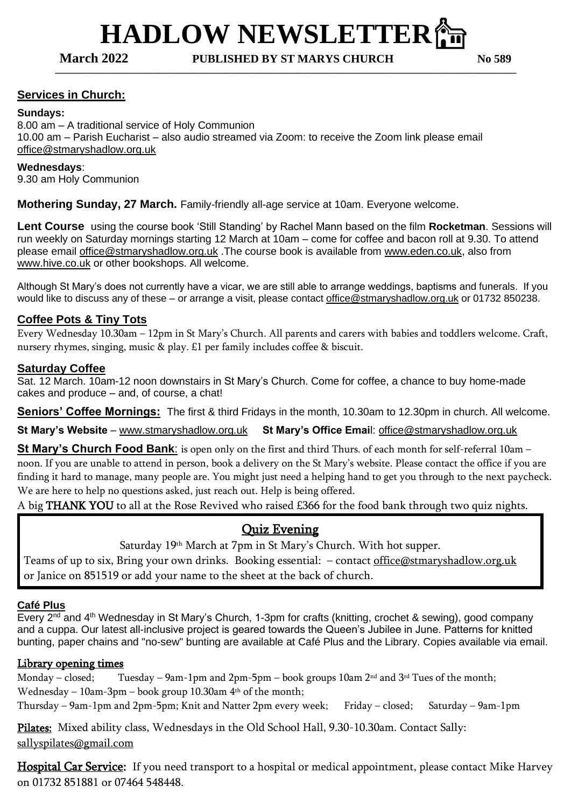# **HADLOW NEWSLETTER**⛪️

**March 2022 PUBLISHED BY ST MARYS CHURCH No 589**

**————————————————————————————————————————**

# **Services in Church:**

### **Sundays:**

8.00 am – A traditional service of Holy Communion 10.00 am – Parish Eucharist – also audio streamed via Zoom: to receive the Zoom link please email [office@stmaryshadlow.org.uk](mailto:office@stmaryshadlow.org.uk)

#### **Wednesdays**:

9.30 am Holy Communion

**Mothering Sunday, 27 March.** Family-friendly all-age service at 10am. Everyone welcome.

**Lent Course** using the course book 'Still Standing' by Rachel Mann based on the film **Rocketman**. Sessions will run weekly on Saturday mornings starting 12 March at 10am – come for coffee and bacon roll at 9.30. To attend please email [office@stmaryshadlow.org.uk](mailto:office@stmaryshadlow.org.uk) .The course book is available from [www.eden.co.uk,](http://www.eden.co.uk/) also from [www.hive.co.uk](http://www.hive.co.uk/) or other bookshops. All welcome.

Although St Mary's does not currently have a vicar, we are still able to arrange weddings, baptisms and funerals. If you would like to discuss any of these – or arrange a visit, please contact [office@stmaryshadlow.org.uk](mailto:office@stmaryshadlow.org.uk) or 01732 850238.

## **Coffee Pots & Tiny Tots**

Every Wednesday 10.30am – 12pm in St Mary's Church. All parents and carers with babies and toddlers welcome. Craft, nursery rhymes, singing, music & play. £1 per family includes coffee & biscuit.

#### **Saturday Coffee**

Sat. 12 March. 10am-12 noon downstairs in St Mary's Church. Come for coffee, a chance to buy home-made cakes and produce – and, of course, a chat!

**Seniors' Coffee Mornings:** The first & third Fridays in the month, 10.30am to 12.30pm in church. All welcome.

**St Mary's Website** – [www.stmaryshadlow.org.uk](http://www.stmaryshadlow.org.uk/) **St Mary's Office Emai**l: [office@stmaryshadlow.org.uk](mailto:office@stmaryshadlow.org.uk)

**St Mary's Church Food Bank**: is open only on the first and third Thurs. of each month for self-referral 10am – noon. If you are unable to attend in person, book a delivery on the St Mary's website. Please contact the office if you are finding it hard to manage, many people are. You might just need a helping hand to get you through to the next paycheck. We are here to help no questions asked, just reach out. Help is being offered.

A big THANK YOU to all at the Rose Revived who raised £366 for the food bank through two quiz nights.

# Quiz Evening

Saturday 19th March at 7pm in St Mary's Church. With hot supper.

Teams of up to six, Bring your own drinks. Booking essential: - contact [office@stmaryshadlow.org.uk](mailto:office@stmaryshadlow.org.uk) or Janice on 851519 or add your name to the sheet at the back of church.

### **Café Plus**

Every 2<sup>nd</sup> and 4<sup>th</sup> Wednesday in St Mary's Church, 1-3pm for crafts (knitting, crochet & sewing), good company and a cuppa. Our latest all-inclusive project is geared towards the Queen's Jubilee in June. Patterns for knitted bunting, paper chains and "no-sew" bunting are available at Café Plus and the Library. Copies available via email.

### Library opening times

Monday – closed; Tuesday – 9am-1pm and 2pm-5pm – book groups 10am 2<sup>nd</sup> and 3<sup>rd</sup> Tues of the month; Wednesday – 10am-3pm – book group 10.30am  $4<sup>th</sup>$  of the month; Thursday – 9am-1pm and 2pm-5pm; Knit and Natter 2pm every week; Friday – closed; Saturday – 9am-1pm

Pilates: Mixed ability class, Wednesdays in the Old School Hall, 9.30-10.30am. Contact Sally: [sallyspilates@gmail.com](mailto:sallyspilates@gmail.com)

Hospital Car Service: If you need transport to a hospital or medical appointment, please contact Mike Harvey on 01732 851881 or 07464 548448.